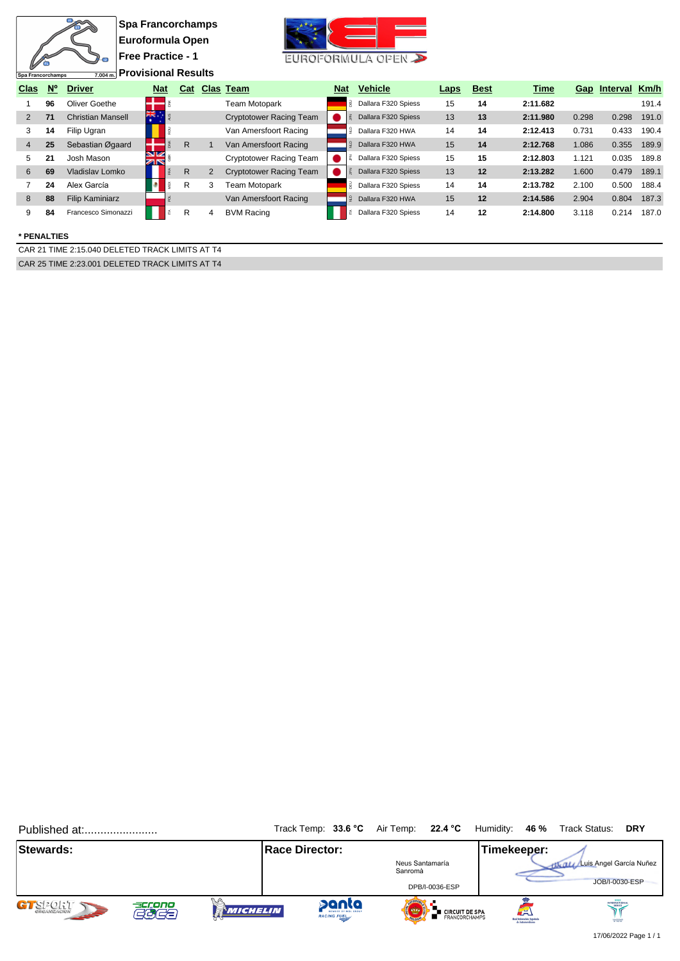| Spa Francorchamps |             | $\sqrt{2}$<br>7.004 m.   | <b>Spa Francorchamps</b><br>Euroformula Open<br><b>Free Practice - 1</b><br><b>Provisional Results</b> |            |              |                |                                |            | EUROFORMULA OPEN    |             |             |          |       |              |       |
|-------------------|-------------|--------------------------|--------------------------------------------------------------------------------------------------------|------------|--------------|----------------|--------------------------------|------------|---------------------|-------------|-------------|----------|-------|--------------|-------|
| <b>Clas</b>       | $N^{\circ}$ | <b>Driver</b>            |                                                                                                        | <b>Nat</b> |              |                | <b>Cat Clas Team</b>           | <b>Nat</b> | <b>Vehicle</b>      | <b>Laps</b> | <b>Best</b> | Time     |       | Gap Interval | Km/h  |
|                   | 96          | Oliver Goethe            |                                                                                                        |            |              |                | <b>Team Motopark</b>           | R.         | Dallara F320 Spiess | 15          | 14          | 2:11.682 |       |              | 191.4 |
| 2                 | 71          | <b>Christian Mansell</b> | ※.                                                                                                     |            |              |                | <b>Cryptotower Racing Team</b> |            | Dallara F320 Spiess | 13          | 13          | 2:11.980 | 0.298 | 0.298        | 191.0 |
| 3                 | 14          | Filip Ugran              |                                                                                                        |            |              |                | Van Amersfoort Racing          |            | Dallara F320 HWA    | 14          | 14          | 2:12.413 | 0.731 | 0.433        | 190.4 |
| 4                 | 25          | Sebastian Øgaard         |                                                                                                        |            | R            |                | Van Amersfoort Racing          |            | Dallara F320 HWA    | 15          | 14          | 2:12.768 | 1.086 | 0.355        | 189.9 |
| 5                 | 21          | Josh Mason               | <u>siz</u><br><b>ZIN</b>                                                                               |            |              |                | Cryptotower Racing Team        |            | Dallara F320 Spiess | 15          | 15          | 2:12.803 | 1.121 | 0.035        | 189.8 |
| 6                 | 69          | Vladislav Lomko          |                                                                                                        |            | $\mathsf{R}$ | $\overline{2}$ | <b>Cryptotower Racing Team</b> |            | Dallara F320 Spiess | 13          | 12          | 2:13.282 | 1.600 | 0.479        | 189.1 |
|                   | 24          | Alex García              |                                                                                                        |            | R            | 3              | Team Motopark                  |            | Dallara F320 Spiess | 14          | 14          | 2:13.782 | 2.100 | 0.500        | 188.4 |
| 8                 | 88          | <b>Filip Kaminiarz</b>   |                                                                                                        |            |              |                | Van Amersfoort Racing          |            | Dallara F320 HWA    | 15          | 12          | 2:14.586 | 2.904 | 0.804        | 187.3 |
| 9                 | 84          | Francesco Simonazzi      |                                                                                                        |            | R            | 4              | <b>BVM Racing</b>              |            | Dallara F320 Spiess | 14          | 12          | 2:14.800 | 3.118 | 0.214        | 187.0 |

### **\* PENALTIES**

CAR 21 TIME 2:15.040 DELETED TRACK LIMITS AT T4 CAR 25 TIME 2:23.001 DELETED TRACK LIMITS AT T4

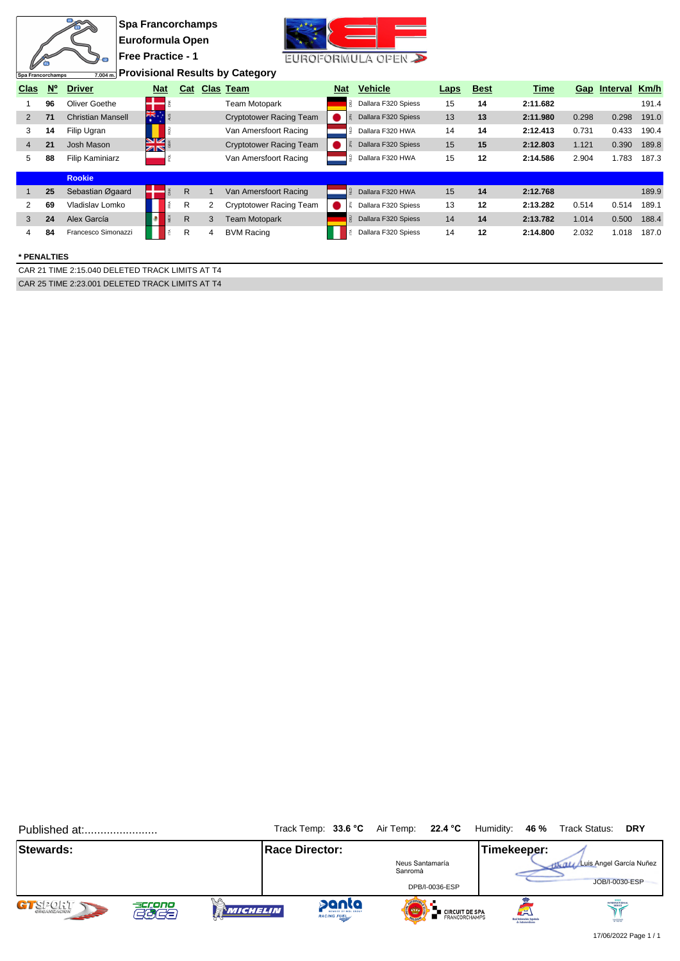|                |                   |                          | <b>Spa Francorchamps</b> |               |              |   |                                        |            |                              |             |             |          |       |                   |       |
|----------------|-------------------|--------------------------|--------------------------|---------------|--------------|---|----------------------------------------|------------|------------------------------|-------------|-------------|----------|-------|-------------------|-------|
|                |                   |                          | Euroformula Open         |               |              |   |                                        |            |                              |             |             |          |       |                   |       |
|                |                   | $4\sigma$                | <b>Free Practice - 1</b> |               |              |   |                                        |            | EUROFORMULA OPEN             |             |             |          |       |                   |       |
|                | Spa Francorchamps | 7.004 m.                 |                          |               |              |   | <b>Provisional Results by Category</b> |            |                              |             |             |          |       |                   |       |
| <b>Clas</b>    | $N^{\circ}$       | <b>Driver</b>            |                          | <b>Nat</b>    |              |   | Cat Clas Team                          | <b>Nat</b> | <b>Vehicle</b>               | <b>Laps</b> | <b>Best</b> | Time     |       | Gap Interval Km/h |       |
|                | 96                | Oliver Goethe            |                          |               |              |   | <b>Team Motopark</b>                   |            | <b>B</b> Dallara F320 Spiess | 15          | 14          | 2:11.682 |       |                   | 191.4 |
| 2              | 71                | <b>Christian Mansell</b> | 1张.                      |               |              |   | <b>Cryptotower Racing Team</b>         |            | Dallara F320 Spiess          | 13          | 13          | 2:11.980 | 0.298 | 0.298             | 191.0 |
| 3              | 14                | Filip Ugran              |                          |               |              |   | Van Amersfoort Racing                  | e,         | Dallara F320 HWA             | 14          | 14          | 2:12.413 | 0.731 | 0.433             | 190.4 |
| $\overline{4}$ | 21                | Josh Mason               |                          | $\frac{N}{N}$ |              |   | <b>Cryptotower Racing Team</b>         |            | Dallara F320 Spiess          | 15          | 15          | 2:12.803 | 1.121 | 0.390             | 189.8 |
| 5              | 88                | <b>Filip Kaminiarz</b>   |                          |               |              |   | Van Amersfoort Racing                  |            | Dallara F320 HWA             | 15          | 12          | 2:14.586 | 2.904 | 1.783             | 187.3 |
|                |                   | <b>Rookie</b>            |                          |               |              |   |                                        |            |                              |             |             |          |       |                   |       |
|                | 25                | Sebastian Øgaard         |                          |               | $\mathsf{R}$ |   | Van Amersfoort Racing                  |            | <b>J</b> Dallara F320 HWA    | 15          | 14          | 2:12.768 |       |                   | 189.9 |
| 2              | 69                | Vladislav Lomko          |                          |               | R            | 2 | Cryptotower Racing Team                |            | Dallara F320 Spiess          | 13          | 12          | 2:13.282 | 0.514 | 0.514             | 189.1 |
| 3              | 24                | Alex García              |                          |               | R            | 3 | <b>Team Motopark</b>                   |            | Dallara F320 Spiess          | 14          | 14          | 2:13.782 | 1.014 | 0.500             | 188.4 |
| 4              | 84                | Francesco Simonazzi      |                          | É             | R            | 4 | <b>BVM Racing</b>                      |            | Dallara F320 Spiess          | 14          | 12          | 2:14.800 | 2.032 | 1.018             | 187.0 |
|                |                   |                          |                          |               |              |   |                                        |            |                              |             |             |          |       |                   |       |

#### **\* PENALTIES**

CAR 21 TIME 2:15.040 DELETED TRACK LIMITS AT T4 CAR 25 TIME 2:23.001 DELETED TRACK LIMITS AT T4

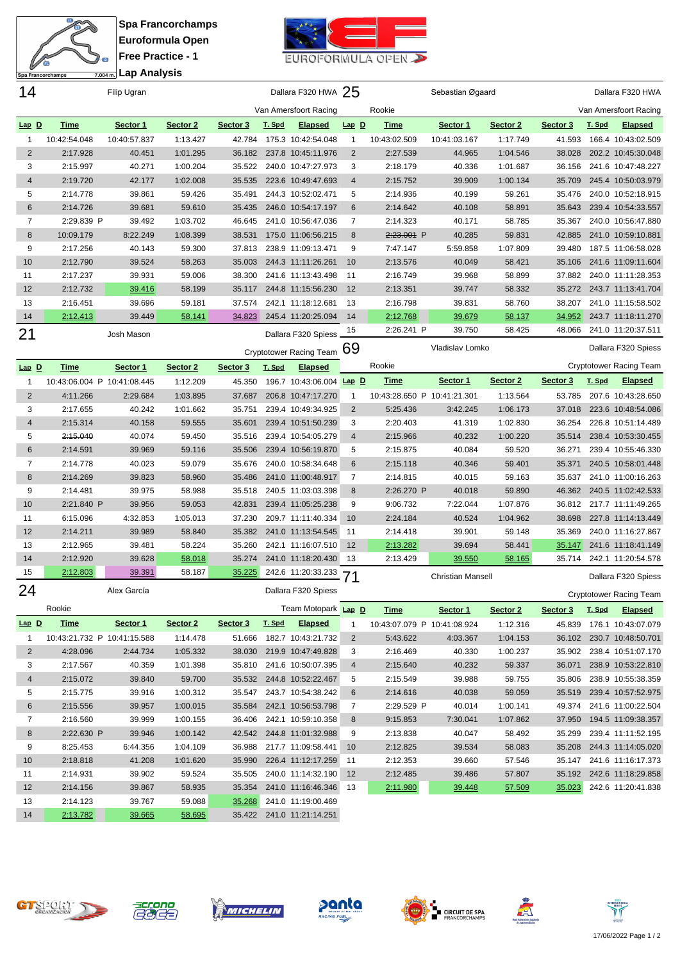

**Spa Francorchamps Euroformula Open Free Practice - 1 Lap Analysis**



| 14             |                             | Filip Ugran  |          |          |               | Dallara F320 HWA 25            |                |                             | Sebastian Øgaard         |          |          |               | Dallara F320 HWA               |
|----------------|-----------------------------|--------------|----------|----------|---------------|--------------------------------|----------------|-----------------------------|--------------------------|----------|----------|---------------|--------------------------------|
|                |                             |              |          |          |               | Van Amersfoort Racing          |                | Rookie                      |                          |          |          |               | Van Amersfoort Racing          |
| $Lap$ D        | <b>Time</b>                 | Sector 1     | Sector 2 | Sector 3 | T. Spd        | <b>Elapsed</b>                 | $Lap$ $D$      | <u>Time</u>                 | Sector 1                 | Sector 2 | Sector 3 | T. Spd        | <b>Elapsed</b>                 |
| 1              | 10:42:54.048                | 10:40:57.837 | 1:13.427 | 42.784   |               | 175.3 10:42:54.048             | $\overline{1}$ | 10:43:02.509                | 10:41:03.167             | 1:17.749 | 41.593   |               | 166.4 10:43:02.509             |
| 2              | 2:17.928                    | 40.451       | 1:01.295 | 36.182   |               | 237.8 10:45:11.976             | $\overline{2}$ | 2:27.539                    | 44.965                   | 1:04.546 | 38.028   |               | 202.2 10:45:30.048             |
| 3              | 2:15.997                    | 40.271       | 1:00.204 | 35.522   |               | 240.0 10:47:27.973             | 3              | 2:18.179                    | 40.336                   | 1:01.687 | 36.156   |               | 241.6 10:47:48.227             |
| 4              | 2:19.720                    | 42.177       | 1:02.008 | 35.535   |               | 223.6 10:49:47.693             | $\overline{4}$ | 2:15.752                    | 39.909                   | 1:00.134 | 35.709   |               | 245.4 10:50:03.979             |
| 5              | 2:14.778                    | 39.861       | 59.426   | 35.491   |               | 244.3 10:52:02.471             | 5              | 2:14.936                    | 40.199                   | 59.261   | 35.476   |               | 240.0 10:52:18.915             |
| 6              | 2:14.726                    | 39.681       | 59.610   | 35.435   |               | 246.0 10:54:17.197             | 6              | 2:14.642                    | 40.108                   | 58.891   | 35.643   |               | 239.4 10:54:33.557             |
| 7              | 2:29.839 P                  | 39.492       | 1:03.702 | 46.645   |               | 241.0 10:56:47.036             | 7              | 2:14.323                    | 40.171                   | 58.785   | 35.367   |               | 240.0 10:56:47.880             |
| 8              | 10:09.179                   | 8:22.249     | 1:08.399 | 38.531   |               | 175.0 11:06:56.215             | 8              | 2:23.001 P                  | 40.285                   | 59.831   | 42.885   |               | 241.0 10:59:10.881             |
| 9              | 2:17.256                    | 40.143       | 59.300   | 37.813   |               | 238.9 11:09:13.471             | 9              | 7:47.147                    | 5:59.858                 | 1:07.809 | 39.480   |               | 187.5 11:06:58.028             |
| 10             | 2:12.790                    | 39.524       | 58.263   | 35.003   |               | 244.3 11:11:26.261             | 10             | 2:13.576                    | 40.049                   | 58.421   | 35.106   |               | 241.6 11:09:11.604             |
| 11             | 2:17.237                    | 39.931       | 59.006   | 38.300   |               | 241.6 11:13:43.498             | 11             | 2:16.749                    | 39.968                   | 58.899   | 37.882   |               | 240.0 11:11:28.353             |
| 12             | 2:12.732                    | 39.416       | 58.199   | 35.117   |               | 244.8 11:15:56.230             | 12             | 2:13.351                    | 39.747                   | 58.332   | 35.272   |               | 243.7 11:13:41.704             |
| 13             | 2:16.451                    | 39.696       | 59.181   | 37.574   |               | 242.1 11:18:12.681             | 13             | 2:16.798                    | 39.831                   | 58.760   | 38.207   |               | 241.0 11:15:58.502             |
| 14             | 2:12.413                    | 39.449       | 58.141   | 34.823   |               | 245.4 11:20:25.094             | 14             | 2:12.768                    | 39.679                   | 58.137   | 34.952   |               | 243.7 11:18:11.270             |
|                |                             |              |          |          |               |                                | 15             | 2:26.241 P                  | 39.750                   | 58.425   | 48.066   |               | 241.0 11:20:37.511             |
| 21             |                             | Josh Mason   |          |          |               | Dallara F320 Spiess            |                |                             |                          |          |          |               |                                |
|                |                             |              |          |          |               | <b>Cryptotower Racing Team</b> | 69             |                             | Vladislav Lomko          |          |          |               | Dallara F320 Spiess            |
| $Lap$ D        | <b>Time</b>                 | Sector 1     | Sector 2 | Sector 3 | T. Spd        | <b>Elapsed</b>                 |                | Rookie                      |                          |          |          |               | <b>Cryptotower Racing Team</b> |
| 1              | 10:43:06.004 P 10:41:08.445 |              | 1:12.209 | 45.350   |               | 196.7 10:43:06.004 Lap D       |                | <b>Time</b>                 | Sector 1                 | Sector 2 | Sector 3 | T. Spd        | <b>Elapsed</b>                 |
| $\overline{2}$ | 4:11.266                    | 2:29.684     | 1:03.895 | 37.687   |               | 206.8 10:47:17.270             | $\mathbf{1}$   | 10:43:28.650 P 10:41:21.301 |                          | 1:13.564 | 53.785   |               | 207.6 10:43:28.650             |
| 3              | 2:17.655                    | 40.242       | 1:01.662 | 35.751   |               | 239.4 10:49:34.925             | 2              | 5:25.436                    | 3:42.245                 | 1:06.173 | 37.018   |               | 223.6 10:48:54.086             |
| 4              | 2:15.314                    | 40.158       | 59.555   | 35.601   |               | 239.4 10:51:50.239             | 3              | 2:20.403                    | 41.319                   | 1:02.830 | 36.254   |               | 226.8 10:51:14.489             |
| 5              | 2:15.040                    | 40.074       | 59.450   | 35.516   |               | 239.4 10:54:05.279             | 4              | 2:15.966                    | 40.232                   | 1:00.220 | 35.514   |               | 238.4 10:53:30.455             |
| 6              | 2:14.591                    | 39.969       | 59.116   | 35.506   |               | 239.4 10:56:19.870             | 5              | 2:15.875                    | 40.084                   | 59.520   | 36.271   |               | 239.4 10:55:46.330             |
| 7              | 2:14.778                    | 40.023       | 59.079   | 35.676   |               | 240.0 10:58:34.648             | 6              | 2:15.118                    | 40.346                   | 59.401   | 35.371   |               | 240.5 10:58:01.448             |
| 8              | 2:14.269                    | 39.823       | 58.960   | 35.486   |               | 241.0 11:00:48.917             | 7              | 2:14.815                    | 40.015                   | 59.163   | 35.637   |               | 241.0 11:00:16.263             |
| 9              | 2:14.481                    | 39.975       | 58.988   | 35.518   |               | 240.5 11:03:03.398             | 8              | 2:26.270 P                  | 40.018                   | 59.890   | 46.362   |               | 240.5 11:02:42.533             |
| 10             | 2:21.840 P                  | 39.956       | 59.053   | 42.831   |               | 239.4 11:05:25.238             | 9              | 9:06.732                    | 7:22.044                 | 1:07.876 | 36.812   |               | 217.7 11:11:49.265             |
| 11             | 6:15.096                    | 4:32.853     | 1:05.013 | 37.230   |               | 209.7 11:11:40.334             | 10             | 2:24.184                    | 40.524                   | 1:04.962 | 38.698   |               | 227.8 11:14:13.449             |
| 12             | 2:14.211                    | 39.989       | 58.840   | 35.382   |               | 241.0 11:13:54.545             | 11             | 2:14.418                    | 39.901                   | 59.148   | 35.369   |               | 240.0 11:16:27.867             |
| 13             | 2:12.965                    | 39.481       | 58.224   | 35.260   |               | 242.1 11:16:07.510             | 12             | 2:13.282                    | 39.694                   | 58.441   | 35.147   |               | 241.6 11:18:41.149             |
| 14             | 2:12.920                    | 39.628       | 58.018   | 35.274   |               | 241.0 11:18:20.430             | 13             | 2:13.429                    | 39.550                   | 58.165   | 35.714   |               | 242.1 11:20:54.578             |
| 15             | 2:12.803                    | 39.391       | 58.187   | 35.225   |               | 242.6 11:20:33.233             | 71             |                             | <b>Christian Mansell</b> |          |          |               | Dallara F320 Spiess            |
| 24             |                             | Alex García  |          |          |               | Dallara F320 Spiess            |                |                             |                          |          |          |               |                                |
|                |                             |              |          |          |               |                                |                |                             |                          |          |          |               | Cryptotower Racing Team        |
|                | Rookie                      |              |          |          |               | Team Motopark Lap D            |                | <b>Time</b>                 | Sector 1                 | Sector 2 | Sector 3 | <u>T. Spd</u> | <b>Elapsed</b>                 |
| $Lap$ $D$      | <b>Time</b>                 | Sector 1     | Sector 2 | Sector 3 | <u>T. Spd</u> | <b>Elapsed</b>                 | $\mathbf{1}$   | 10:43:07.079 P 10:41:08.924 |                          | 1:12.316 | 45.839   |               | 176.1 10:43:07.079             |
| $\mathbf{1}$   | 10:43:21.732 P 10:41:15.588 |              | 1:14.478 | 51.666   |               | 182.7 10:43:21.732             | $\overline{2}$ | 5:43.622                    | 4:03.367                 | 1:04.153 |          |               | 36.102 230.7 10:48:50.701      |
| 2              | 4:28.096                    | 2:44.734     | 1:05.332 | 38.030   |               | 219.9 10:47:49.828             | 3              | 2:16.469                    | 40.330                   | 1:00.237 | 35.902   |               | 238.4 10:51:07.170             |
| 3              | 2:17.567                    | 40.359       | 1:01.398 | 35.810   |               | 241.6 10:50:07.395             | $\overline{4}$ | 2:15.640                    | 40.232                   | 59.337   | 36.071   |               | 238.9 10:53:22.810             |
| 4              | 2:15.072                    | 39.840       | 59.700   | 35.532   |               | 244.8 10:52:22.467             | 5              | 2:15.549                    | 39.988                   | 59.755   | 35.806   |               | 238.9 10:55:38.359             |
| 5              | 2:15.775                    | 39.916       | 1:00.312 | 35.547   |               | 243.7 10:54:38.242             | 6              | 2:14.616                    | 40.038                   | 59.059   |          |               | 35.519 239.4 10:57:52.975      |
| 6              | 2:15.556                    | 39.957       | 1:00.015 | 35.584   |               | 242.1 10:56:53.798             | 7              | 2:29.529 P                  | 40.014                   | 1:00.141 | 49.374   |               | 241.6 11:00:22.504             |
| 7              | 2:16.560                    | 39.999       | 1:00.155 | 36.406   |               | 242.1 10:59:10.358             | 8              | 9:15.853                    | 7:30.041                 | 1:07.862 | 37.950   |               | 194.5 11:09:38.357             |
| 8              | 2:22.630 P                  | 39.946       | 1:00.142 | 42.542   |               | 244.8 11:01:32.988             | 9              | 2:13.838                    | 40.047                   | 58.492   | 35.299   |               | 239.4 11:11:52.195             |
| 9              | 8:25.453                    | 6:44.356     | 1:04.109 | 36.988   |               | 217.7 11:09:58.441             | 10             | 2:12.825                    | 39.534                   | 58.083   |          |               | 35.208 244.3 11:14:05.020      |
| 10             | 2:18.818                    | 41.208       | 1:01.620 | 35.990   |               | 226.4 11:12:17.259             | -11            | 2:12.353                    | 39.660                   | 57.546   | 35.147   |               | 241.6 11:16:17.373             |
| 11             | 2:14.931                    | 39.902       | 59.524   | 35.505   |               | 240.0 11:14:32.190             | 12             | 2:12.485                    | 39.486                   | 57.807   | 35.192   |               | 242.6 11:18:29.858             |
| 12             | 2:14.156                    | 39.867       | 58.935   | 35.354   |               | 241.0 11:16:46.346             | -13            | 2:11.980                    | 39.448                   | 57.509   | 35.023   |               | 242.6 11:20:41.838             |
| 13             | 2:14.123                    | 39.767       | 59.088   | 35.268   |               | 241.0 11:19:00.469             |                |                             |                          |          |          |               |                                |
| 14             | 2:13.782                    | 39.665       | 58.695   |          |               | 35.422 241.0 11:21:14.251      |                |                             |                          |          |          |               |                                |













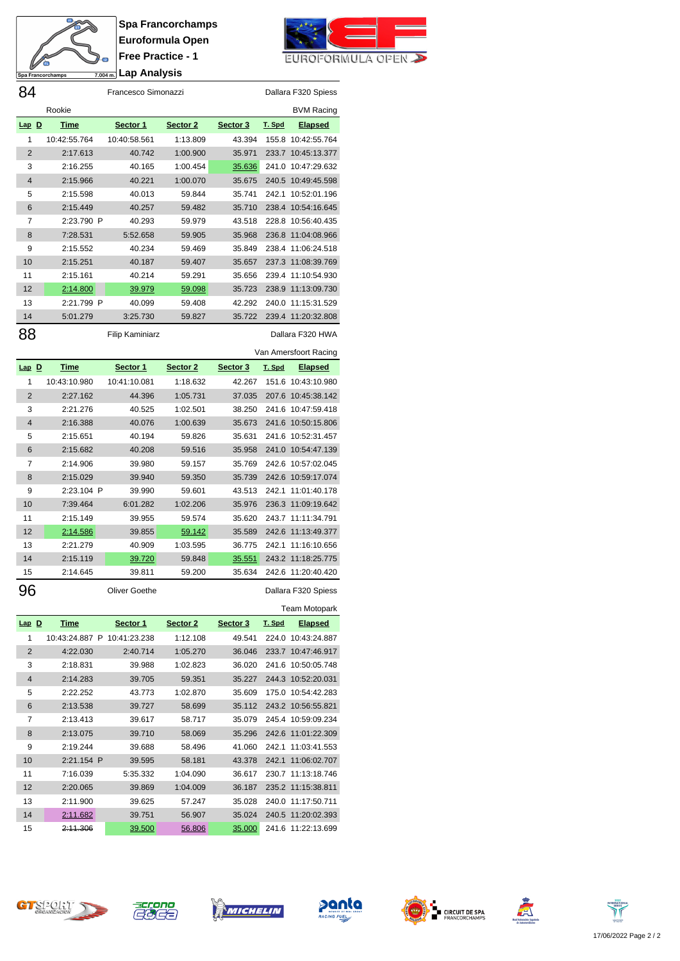

**Spa Francorchamps Euroformula Open Free Practice - 1 Lap Analysis**

84 Francesco Simonazzi Dallara F320 Spiess



|           | Rookie                      |                        |          |          |               | <b>BVM Racing</b>     |
|-----------|-----------------------------|------------------------|----------|----------|---------------|-----------------------|
| $Lap$ $D$ | <u>Time</u>                 | Sector 1               | Sector 2 | Sector 3 | T. Spd        | <b>Elapsed</b>        |
| 1         | 10:42:55.764                | 10:40:58.561           | 1:13.809 | 43.394   |               | 155.8 10:42:55.764    |
| 2         | 2:17.613                    | 40.742                 | 1:00.900 | 35.971   | 233.7         | 10:45:13.377          |
| 3         | 2:16.255                    | 40.165                 | 1:00.454 | 35.636   | 241.0         | 10:47:29.632          |
| 4         | 2:15.966                    | 40.221                 | 1:00.070 | 35.675   | 240.5         | 10:49:45.598          |
| 5         | 2:15.598                    | 40.013                 | 59.844   | 35.741   | 242.1         | 10:52:01.196          |
| 6         | 2:15.449                    | 40.257                 | 59.482   | 35.710   | 238.4         | 10:54:16.645          |
| 7         | 2:23.790 P                  | 40.293                 | 59.979   | 43.518   | 228.8         | 10:56:40.435          |
| 8         | 7:28.531                    | 5:52.658               | 59.905   | 35.968   | 236.8         | 11:04:08.966          |
| 9         | 2:15.552                    | 40.234                 | 59.469   | 35.849   | 238.4         | 11:06:24.518          |
| 10        | 2:15.251                    | 40.187                 | 59.407   | 35.657   | 237.3         | 11:08:39.769          |
| 11        | 2:15.161                    | 40.214                 | 59.291   | 35.656   | 239.4         | 11:10:54.930          |
| 12        | 2:14.800                    | 39.979                 | 59.098   | 35.723   | 238.9         | 11:13:09.730          |
| 13        | 2:21.799 P                  | 40.099                 | 59.408   | 42.292   | 240.0         | 11:15:31.529          |
| 14        | 5:01.279                    | 3:25.730               | 59.827   | 35.722   |               | 239.4 11:20:32.808    |
|           |                             |                        |          |          |               |                       |
| 88        |                             | <b>Filip Kaminiarz</b> |          |          |               | Dallara F320 HWA      |
|           |                             |                        |          |          |               | Van Amersfoort Racing |
| $Lap$ $D$ | <b>Time</b>                 | Sector 1               | Sector 2 | Sector 3 | T. Spd        | <b>Elapsed</b>        |
| 1         | 10:43:10.980                | 10:41:10.081           | 1:18.632 | 42.267   | 151.6         | 10:43:10.980          |
| 2         | 2:27.162                    | 44.396                 | 1:05.731 | 37.035   | 207.6         | 10:45:38.142          |
| 3         | 2:21.276                    | 40.525                 | 1:02.501 | 38.250   | 241.6         | 10:47:59.418          |
| 4         | 2:16.388                    | 40.076                 | 1:00.639 | 35.673   | 241.6         | 10:50:15.806          |
| 5         | 2:15.651                    | 40.194                 | 59.826   | 35.631   | 241.6         | 10:52:31.457          |
| 6         | 2:15.682                    | 40.208                 | 59.516   | 35.958   | 241.0         | 10:54:47.139          |
| 7         | 2:14.906                    | 39.980                 | 59.157   | 35.769   | 242.6         | 10:57:02.045          |
| 8         | 2:15.029                    | 39.940                 | 59.350   | 35.739   |               | 242.6 10:59:17.074    |
| 9         | 2:23.104 P                  | 39.990                 | 59.601   | 43.513   | 242.1         | 11:01:40.178          |
| 10        | 7:39.464                    | 6:01.282               | 1:02.206 | 35.976   |               | 236.3 11:09:19.642    |
| 11        | 2:15.149                    | 39.955                 | 59.574   | 35.620   | 243.7         | 11:11:34.791          |
| 12        | 2:14.586                    | 39.855                 | 59.142   | 35.589   | 242.6         | 11:13:49.377          |
| 13        | 2:21.279                    | 40.909                 | 1:03.595 | 36.775   | 242.1         | 11:16:10.656          |
| 14        | 2:15.119                    | 39.720                 | 59.848   | 35.551   | 243.2         | 11:18:25.775          |
| 15        | 2:14.645                    | 39.811                 | 59.200   | 35.634   | 242.6         | 11:20:40.420          |
| 96        |                             | <b>Oliver Goethe</b>   |          |          |               | Dallara F320 Spiess   |
|           |                             |                        |          |          |               | Team Motopark         |
| $Lap$ D   | <u>Time</u>                 | Sector 1               | Sector 2 | Sector 3 | <u>T. Spd</u> | <b>Elapsed</b>        |
| 1         | 10:43:24.887 P 10:41:23.238 |                        | 1:12.108 | 49.541   |               | 224.0 10:43:24.887    |
| 2         | 4:22.030                    | 2:40.714               | 1:05.270 | 36.046   | 233.7         | 10:47:46.917          |
| 3         | 2:18.831                    | 39.988                 | 1:02.823 | 36.020   |               | 241.6 10:50:05.748    |
| 4         | 2:14.283                    | 39.705                 | 59.351   | 35.227   |               | 244.3 10:52:20.031    |
| 5         | 2:22.252                    | 43.773                 | 1:02.870 | 35.609   |               | 175.0 10:54:42.283    |
| 6         | 2:13.538                    | 39.727                 | 58.699   | 35.112   |               | 243.2 10:56:55.821    |
| 7         | 2:13.413                    | 39.617                 | 58.717   | 35.079   |               | 245.4 10:59:09.234    |
| 8         | 2:13.075                    | 39.710                 | 58.069   | 35.296   |               | 242.6 11:01:22.309    |
| 9         | 2:19.244                    | 39.688                 | 58.496   | 41.060   | 242.1         | 11:03:41.553          |
| 10        | 2:21.154 P                  | 39.595                 | 58.181   | 43.378   |               | 242.1 11:06:02.707    |
| 11        | 7:16.039                    | 5:35.332               | 1:04.090 | 36.617   |               | 230.7 11:13:18.746    |
| 12        | 2:20.065                    |                        | 1:04.009 |          |               | 235.2 11:15:38.811    |
|           |                             | 39.869                 |          | 36.187   |               |                       |
| 13        | 2:11.900                    | 39.625                 | 57.247   | 35.028   |               | 240.0 11:17:50.711    |
| 14        | 2:11.682                    | 39.751                 | 56.907   | 35.024   |               | 240.5 11:20:02.393    |
| 15        | <del>2:11.306</del>         | <u>39.500</u>          | 56.806   | 35.000   |               | 241.6 11:22:13.699    |













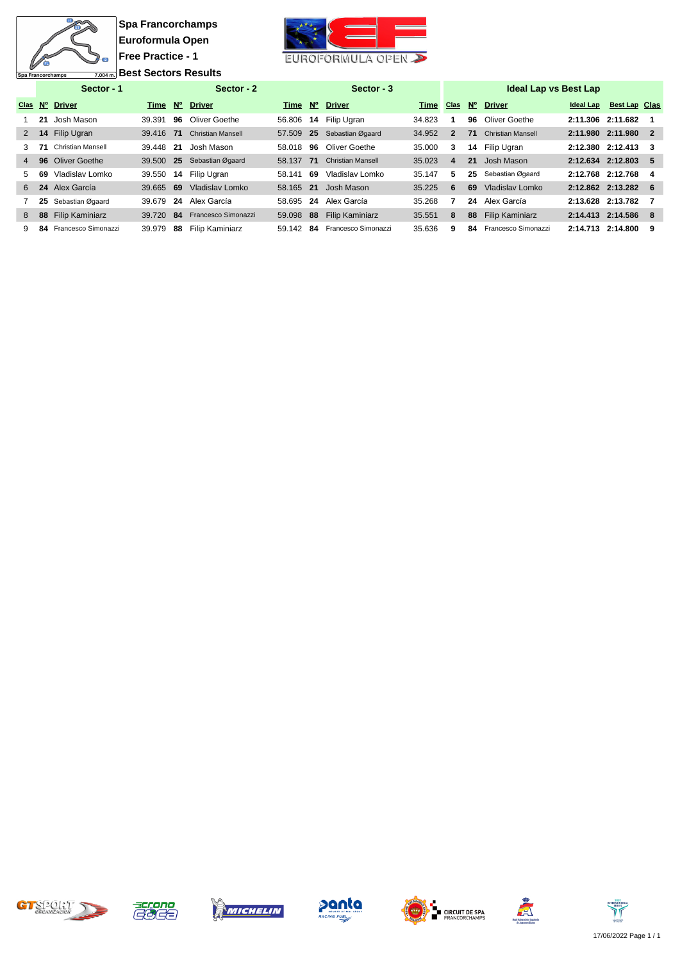

**Spa Francorchamps Euroformula Open Free Practice - 1 Best Sectors Results** 



|                |    | Sector - 1             |           |             | Sector - 2               |           |             | Sector - 3               |        |                |             | <b>Ideal Lap vs Best Lap</b> |                   |                      |     |
|----------------|----|------------------------|-----------|-------------|--------------------------|-----------|-------------|--------------------------|--------|----------------|-------------|------------------------------|-------------------|----------------------|-----|
| Clas           |    | N° Driver              | Time      | $N^{\circ}$ | <b>Driver</b>            | Time      | $N^{\circ}$ | <b>Driver</b>            | Time   | <b>Clas</b>    | $N^{\circ}$ | <b>Driver</b>                | <b>Ideal Lap</b>  | <b>Best Lap Clas</b> |     |
|                | 21 | Josh Mason             | 39.391    | 96          | Oliver Goethe            | 56.806    | 14          | Filip Ugran              | 34.823 |                | 96          | Oliver Goethe                | 2:11.306 2:11.682 |                      |     |
| $\overline{2}$ |    | 14 Filip Ugran         | 39.416 71 |             | <b>Christian Mansell</b> | 57.509    | 25          | Sebastian Øgaard         | 34.952 | $\overline{2}$ | 71          | <b>Christian Mansell</b>     | 2:11.980 2:11.980 |                      | -2  |
| З.             | 71 | Christian Mansell      | 39.448    | -21         | Josh Mason               | 58.018    | 96          | Oliver Goethe            | 35.000 | 3              | 14          | Filip Ugran                  | 2:12.380 2:12.413 |                      | 3   |
| $\overline{4}$ |    | 96 Oliver Goethe       | 39.500    | -25         | Sebastian Øgaard         | 58.137    | 71          | <b>Christian Mansell</b> | 35.023 | 4              | 21          | Josh Mason                   | 2:12.634 2:12.803 |                      | 5   |
| 5.             | 69 | Vladislav Lomko        | 39.550    | 14          | Filip Ugran              | 58.141    | -69         | Vladislav Lomko          | 35.147 | 5              | 25          | Sebastian Øgaard             | 2:12.768 2:12.768 |                      | -4  |
| 6              |    | 24 Alex García         | 39.665    | -69         | Vladislav Lomko          | 58.165 21 |             | Josh Mason               | 35.225 | 6              | 69          | Vladislav Lomko              | 2:12.862 2:13.282 |                      | - 6 |
|                | 25 | Sebastian Øgaard       | 39.679    | -24         | Alex García              | 58.695    | 24          | Alex García              | 35.268 |                | 24          | Alex García                  | 2:13.628          | 2:13.782             |     |
| 8              | 88 | <b>Filip Kaminiarz</b> | 39.720    | -84         | Francesco Simonazzi      | 59.098    | 88          | <b>Filip Kaminiarz</b>   | 35.551 | 8              | 88          | <b>Filip Kaminiarz</b>       | 2:14.413 2:14.586 |                      | -8  |
| 9              | 84 | Francesco Simonazzi    | 39.979    | 88          | Filip Kaminiarz          | 59.142    | -84         | Francesco Simonazzi      | 35.636 | 9              | 84          | Francesco Simonazzi          | 2:14.713 2:14.800 |                      | 9   |













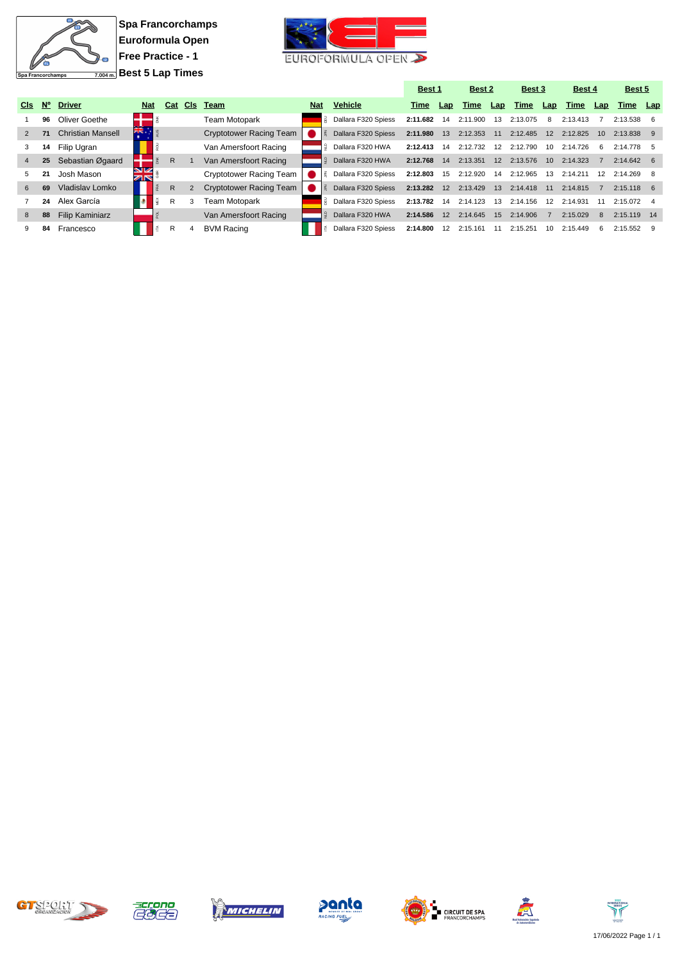

**Spa Francorchamps Euroformula Open Free Practice - 1 Best 5 Lap Times**



|                 |             |                          |                  |   |     |            |                                |            |                     | Best 1   |                   | Best 2   |     | Best 3   |                 | Best 4   |                 | Best 5             |  |
|-----------------|-------------|--------------------------|------------------|---|-----|------------|--------------------------------|------------|---------------------|----------|-------------------|----------|-----|----------|-----------------|----------|-----------------|--------------------|--|
| C <sub>ls</sub> | $N^{\circ}$ | <b>Driver</b>            | <b>Nat</b>       |   | Cat | <b>CIs</b> | Team                           | <b>Nat</b> | <b>Vehicle</b>      | Time     | Lap               | Time     | Lap | Time     | Lap             | Time     | Lap             | Time Lap           |  |
|                 | 96          | Oliver Goethe            |                  |   |     |            | Team Motopark                  |            | Dallara F320 Spiess | 2:11.682 | 14                | 2:11.900 | -13 | 2:13.075 | 8               | 2:13.413 |                 | $2:13.538$ 6       |  |
| $\overline{2}$  | 71          | <b>Christian Mansell</b> | ăĶ.              |   |     |            | <b>Cryptotower Racing Team</b> |            | Dallara F320 Spiess | 2:11.980 | 13                | 2:12.353 | 11  | 2:12.485 | 12              | 2:12.825 | 10 <sup>1</sup> | 2:13.838 9         |  |
| 3               | 14          | Filip Ugran              |                  |   |     |            | Van Amersfoort Racing          |            | Dallara F320 HWA    | 2:12.413 | 14                | 2:12.732 | 12  | 2:12.790 | 10              | 2:14.726 | -6              | $2:14.778$ 5       |  |
| 4               | 25          | Sebastian Øgaard         |                  |   | R.  |            | Van Amersfoort Racing          |            | Dallara F320 HWA    | 2:12.768 | 14                | 2:13.351 | 12  | 2:13.576 | 10 <sup>1</sup> | 2:14.323 |                 | $2:14.642 \quad 6$ |  |
| 5.              | 21          | Josh Mason               | <b>SIZ</b><br>ZN |   |     |            | Cryptotower Racing Team        |            | Dallara F320 Spiess | 2:12.803 | 15                | 2:12.920 | 14  | 2:12.965 | 13              | 2:14.211 | 12              | 2:14.269           |  |
| 6               | 69          | Vladislav Lomko          |                  |   | R.  | 2          | <b>Cryptotower Racing Team</b> |            | Dallara F320 Spiess | 2:13.282 | 12                | 2:13.429 | 13  | 2:14.418 | 11              | 2:14.815 |                 | $2:15.118$ 6       |  |
|                 | 24          | Alex García              |                  | ğ | R   | 3          | Team Motopark                  |            | Dallara F320 Spiess | 2:13.782 | 14                | 2:14.123 | 13  | 2:14.156 | 12              | 2:14.931 | 11              | $2:15.072$ 4       |  |
| 8               | 88          | <b>Filip Kaminiarz</b>   |                  |   |     |            | Van Amersfoort Racing          |            | Dallara F320 HWA    | 2:14.586 | $12 \overline{ }$ | 2:14.645 | 15  | 2:14.906 |                 | 2:15.029 | -8              | $2:15.119$ 14      |  |
| 9               | 84          | Francesco                |                  | É | R   | 4          | <b>BVM Racing</b>              |            | Dallara F320 Spiess | 2:14.800 | 12                | 2:15.161 |     | 2:15.251 | 10              | 2:15.449 | -6              | 2:15.552           |  |













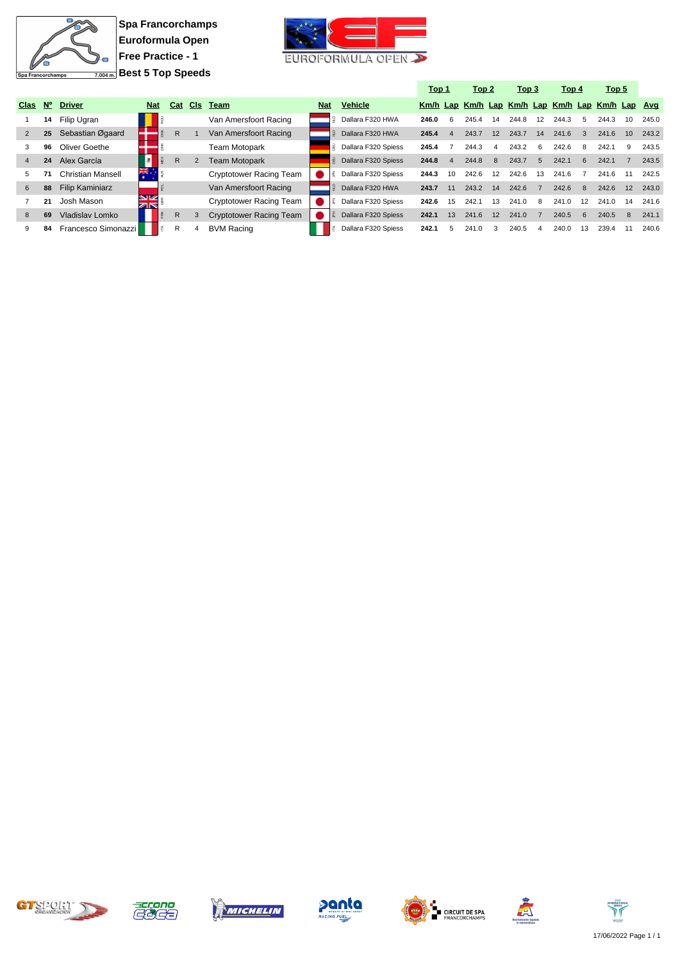

**Spa Francorchamps Euroformula Open Free Practice - 1 Best 5 Top Speeds**



|                |             |                        |            |              |     |                                |            |                          | <u>Top 1</u> |    | Top 2 |              | Top 3                                            |                | Top 4 |               | Top 5 |    |       |
|----------------|-------------|------------------------|------------|--------------|-----|--------------------------------|------------|--------------------------|--------------|----|-------|--------------|--------------------------------------------------|----------------|-------|---------------|-------|----|-------|
| Clas           | $N^{\circ}$ | <b>Driver</b>          | <b>Nat</b> | Cat          | CIs | Team                           | <b>Nat</b> | <b>Vehicle</b>           |              |    |       |              | Km/h Lap Km/h Lap Km/h Lap Km/h Lap Km/h Lap Avg |                |       |               |       |    |       |
|                | 14          | Filip Ugran            |            |              |     | Van Amersfoort Racing          |            | Dallara F320 HWA         | 246.0        | 6  | 245.4 | 14           | 244.8                                            | 12             | 244.3 | -5            | 244.3 | 10 | 245.0 |
| 2              | 25          | Sebastian Øgaard       |            | $\mathsf{R}$ |     | Van Amersfoort Racing          |            | Dallara F320 HWA         | 245.4        |    | 243.7 | 12           | 243.7                                            | 14             | 241.6 | $\mathcal{B}$ | 241.6 | 10 | 243.2 |
| 3              | 96          | Oliver Goethe          |            |              |     | Team Motopark                  |            | Dallara F320 Spiess<br>룾 | 245.4        |    | 244.3 | 4            | 243.2                                            | 6              | 242.6 | -8            | 242.1 | 9  | 243.5 |
| $\overline{4}$ | 24          | Alex García            |            | $\mathsf{R}$ |     | <b>Team Motopark</b>           |            | Dallara F320 Spiess      | 244.8        | 4  | 244.8 | $\mathbf{R}$ | 243.7                                            | 5              | 242.1 | 6             | 242.1 |    | 243.5 |
| 5.             |             | Christian Mansell      | ※          |              |     | Cryptotower Racing Team        |            | Dallara F320 Spiess      | 244.3        | 10 | 242.6 | 12           | 242.6                                            | 13             | 241.6 |               | 241.6 |    | 242.5 |
| 6              | 88          | <b>Filip Kaminiarz</b> |            |              |     | Van Amersfoort Racing          |            | Dallara F320 HWA         | 243.7        | 11 | 243.2 | 14           | 242.6                                            | $\overline{7}$ | 242.6 | -8            | 242.6 | 12 | 243.0 |
|                | 21          | Josh Mason             | VK<br>বাষ  |              |     | Cryptotower Racing Team        |            | Dallara F320 Spiess      | 242.6        | 15 | 242.1 | 13           | 241.0                                            | 8              | 241.0 | 12            | 241.0 | 14 | 241.6 |
| 8              | 69          | Vladislav Lomko        |            | R            |     | <b>Cryptotower Racing Team</b> |            | Dallara F320 Spiess      | 242.1        | 13 | 241.6 | 12           | 241.0                                            |                | 240.5 | <b>6</b>      | 240.5 | 8  | 241.1 |
| 9              | 84          | Francesco Simonazzi    |            | R            |     | <b>BVM Racing</b>              |            | Dallara F320 Spiess      | 242.1        | 5  | 241.0 |              | 240.5                                            | 4              | 240.0 | 13            | 239.4 |    | 240.6 |













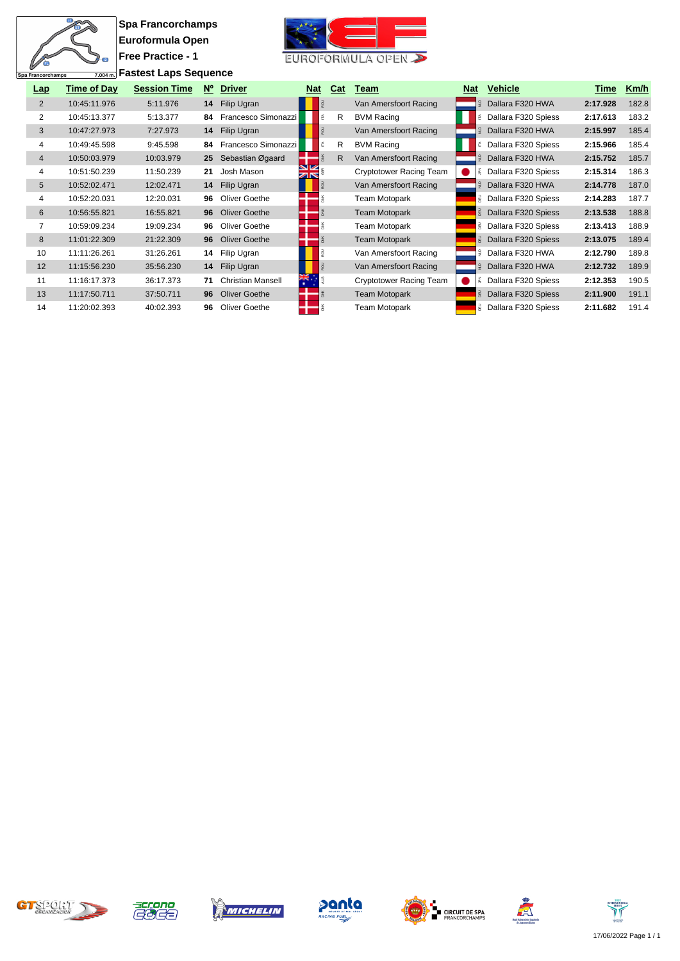# $\overline{\mathbf{u}}$ 衙  $\overline{2}$ Spa Francorchamps

**Spa Francorchamps Euroformula Open Free Practice - 1 Fastest Laps Sequence**



| Lap            | <b>Time of Day</b> | <b>Session Time</b> | $N^{\circ}$ | <b>Driver</b>            | <b>Nat</b>       | Cat          | Team                           | <b>Nat</b> | <b>Vehicle</b>               | Time     | Km/h  |
|----------------|--------------------|---------------------|-------------|--------------------------|------------------|--------------|--------------------------------|------------|------------------------------|----------|-------|
| $\overline{2}$ | 10:45:11.976       | 5:11.976            | 14          | Filip Ugran              |                  |              | Van Amersfoort Racing          |            | Dallara F320 HWA             | 2:17.928 | 182.8 |
| 2              | 10:45:13.377       | 5:13.377            | 84          | Francesco Simonazzi      |                  | R            | <b>BVM Racing</b>              |            | Dallara F320 Spiess          | 2:17.613 | 183.2 |
| 3              | 10:47:27.973       | 7:27.973            | 14          | Filip Ugran              |                  |              | Van Amersfoort Racing          |            | Dallara F320 HWA             | 2:15.997 | 185.4 |
| 4              | 10:49:45.598       | 9:45.598            | 84          | Francesco Simonazzi      |                  | $\mathsf{R}$ | <b>BVM Racing</b>              | Ě          | Dallara F320 Spiess          | 2:15.966 | 185.4 |
| $\overline{4}$ | 10:50:03.979       | 10:03.979           | 25          | Sebastian Øgaard         |                  | R            | Van Amersfoort Racing          |            | Dallara F320 HWA             | 2:15.752 | 185.7 |
| 4              | 10:51:50.239       | 11:50.239           | 21          | Josh Mason               | <b>SIZ</b><br>ZK |              | <b>Cryptotower Racing Team</b> |            | Dallara F320 Spiess          | 2:15.314 | 186.3 |
| 5              | 10:52:02.471       | 12:02.471           |             | 14 Filip Ugran           |                  |              | Van Amersfoort Racing          |            | Dallara F320 HWA             | 2:14.778 | 187.0 |
| 4              | 10:52:20.031       | 12:20.031           | 96          | Oliver Goethe            |                  |              | Team Motopark                  |            | Dallara F320 Spiess          | 2:14.283 | 187.7 |
| 6              | 10:56:55.821       | 16:55.821           | 96          | <b>Oliver Goethe</b>     |                  |              | <b>Team Motopark</b>           |            | <b>B</b> Dallara F320 Spiess | 2:13.538 | 188.8 |
| 7              | 10:59:09.234       | 19:09.234           | 96          | Oliver Goethe            |                  |              | Team Motopark                  |            | <b>B</b> Dallara F320 Spiess | 2:13.413 | 188.9 |
| 8              | 11:01:22.309       | 21:22.309           | 96          | <b>Oliver Goethe</b>     |                  |              | <b>Team Motopark</b>           |            | Dallara F320 Spiess          | 2:13.075 | 189.4 |
| 10             | 11:11:26.261       | 31:26.261           | 14          | Filip Ugran              |                  |              | Van Amersfoort Racing          |            | Dallara F320 HWA             | 2:12.790 | 189.8 |
| 12             | 11:15:56.230       | 35:56.230           | 14          | Filip Ugran              |                  |              | Van Amersfoort Racing          |            | Dallara F320 HWA             | 2:12.732 | 189.9 |
| 11             | 11:16:17.373       | 36:17.373           | 71          | <b>Christian Mansell</b> | $\frac{2\pi}{2}$ |              | Cryptotower Racing Team        |            | Dallara F320 Spiess          | 2:12.353 | 190.5 |
| 13             | 11:17:50.711       | 37:50.711           | 96          | <b>Oliver Goethe</b>     |                  |              | <b>Team Motopark</b>           |            | Dallara F320 Spiess          | 2:11.900 | 191.1 |
| 14             | 11:20:02.393       | 40:02.393           | 96          | Oliver Goethe            |                  |              | Team Motopark                  |            | Dallara F320 Spiess          | 2:11.682 | 191.4 |













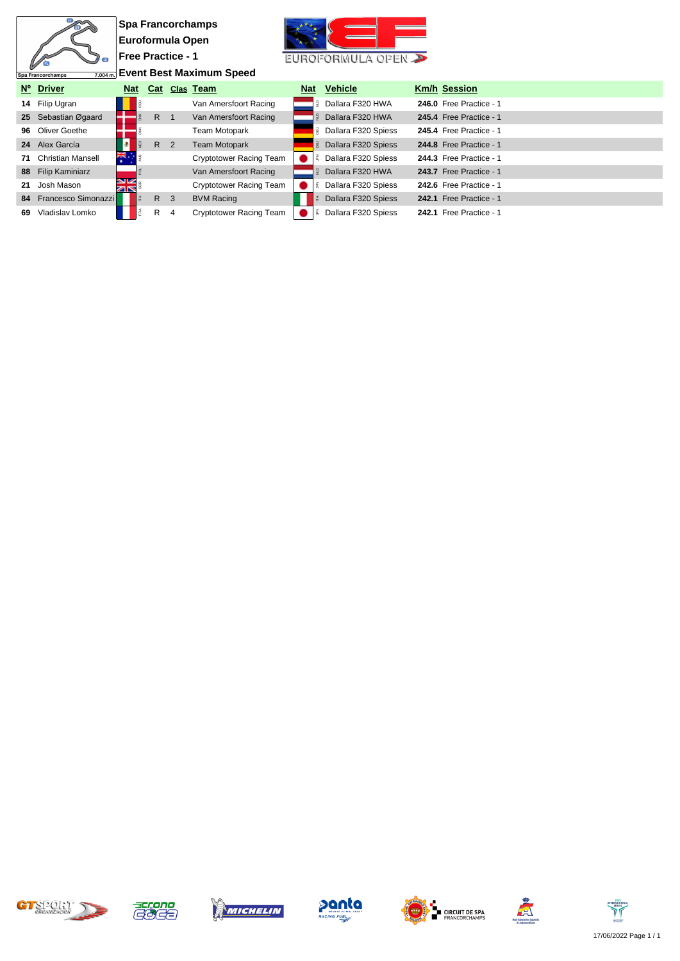|                 |                               |                          |             |                | <b>Spa Francorchamps</b>        |            |                     |                         |
|-----------------|-------------------------------|--------------------------|-------------|----------------|---------------------------------|------------|---------------------|-------------------------|
|                 |                               | Euroformula Open         |             |                |                                 |            |                     |                         |
|                 |                               | <b>Free Practice - 1</b> |             |                |                                 |            | EUROFORMULA OPEN    |                         |
|                 | 7.004 m.<br>Spa Francorchamps |                          |             |                | <b>Event Best Maximum Speed</b> |            |                     |                         |
|                 | Nº Driver                     | <b>Nat</b>               |             |                | Cat Clas Team                   | <b>Nat</b> | <b>Vehicle</b>      | <b>Km/h Session</b>     |
|                 | 14 Filip Ugran                |                          |             |                | Van Amersfoort Racing           |            | Dallara F320 HWA    | 246.0 Free Practice - 1 |
| 25 <sub>1</sub> | Sebastian Øgaard              |                          | $R \quad 1$ |                | Van Amersfoort Racing           |            | Dallara F320 HWA    | 245.4 Free Practice - 1 |
|                 | 96 Oliver Goethe              |                          |             |                | Team Motopark                   |            | Dallara F320 Spiess | 245.4 Free Practice - 1 |
|                 | 24 Alex García                |                          |             | R <sub>2</sub> | <b>Team Motopark</b>            |            | Dallara F320 Spiess | 244.8 Free Practice - 1 |
| 71              | <b>Christian Mansell</b>      | Ж.                       |             |                | <b>Cryptotower Racing Team</b>  |            | Dallara F320 Spiess | 244.3 Free Practice - 1 |
| 88              | <b>Filip Kaminiarz</b>        |                          |             |                | Van Amersfoort Racing           |            | Dallara F320 HWA    | 243.7 Free Practice - 1 |
| 21              | Josh Mason                    | É                        |             |                | <b>Cryptotower Racing Team</b>  |            | Dallara F320 Spiess | 242.6 Free Practice - 1 |
|                 | 84 Francesco Simonazzi        |                          | R           | $\mathbf{3}$   | <b>BVM Racing</b>               |            | Dallara F320 Spiess | 242.1 Free Practice - 1 |
| 69              | Vladislav Lomko               |                          | R           | 4              | <b>Cryptotower Racing Team</b>  |            | Dallara F320 Spiess | 242.1 Free Practice - 1 |













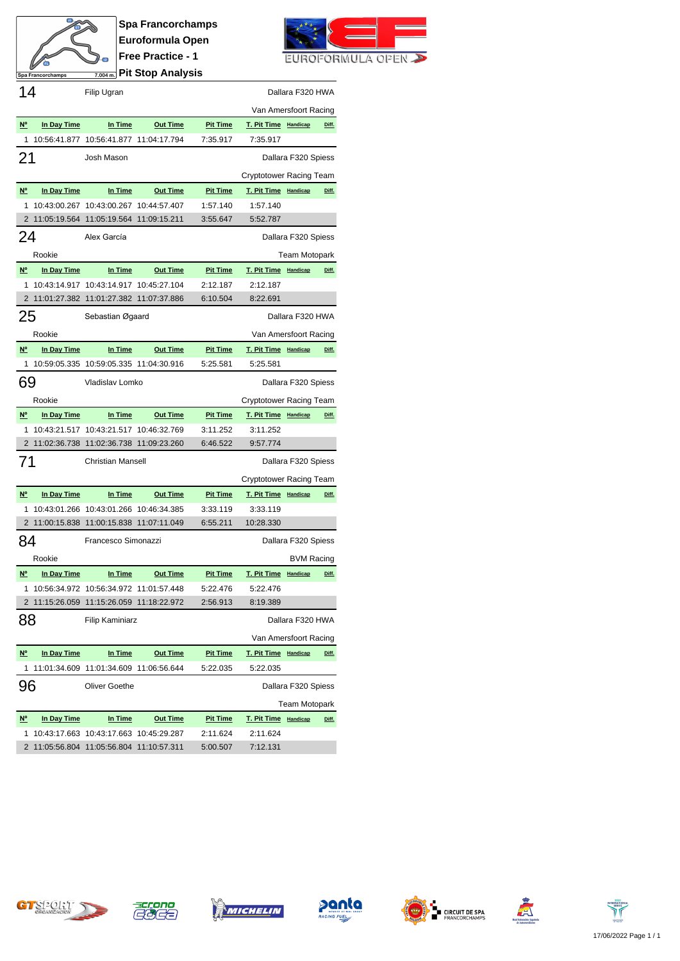

**Spa Francorchamps Euroformula Open Free Practice - 1 Pit Stop Analysis**



| 14                                    |             | Filip Ugran                              |                                        |                 |                                  | Dallara F320 HWA     |       |
|---------------------------------------|-------------|------------------------------------------|----------------------------------------|-----------------|----------------------------------|----------------------|-------|
|                                       |             |                                          |                                        |                 | Van Amersfoort Racing            |                      |       |
| N <sup>o</sup>                        | In Day Time | In Time                                  | <b>Out Time</b>                        | <b>Pit Time</b> | T. Pit Time Handicap             |                      | Diff. |
| 1                                     |             | 10:56:41.877 10:56:41.877 11:04:17.794   |                                        | 7:35.917        | 7:35.917                         |                      |       |
| 21                                    |             | Josh Mason                               |                                        |                 |                                  | Dallara F320 Spiess  |       |
|                                       |             |                                          |                                        |                 | Cryptotower Racing Team          |                      |       |
| N <sup>o</sup>                        | In Day Time | In Time                                  | <b>Out Time</b>                        | <b>Pit Time</b> | T. Pit Time Handicap             |                      | Diff. |
| 1                                     |             | 10:43:00.267 10:43:00.267 10:44:57.407   |                                        | 1:57.140        | 1:57.140                         |                      |       |
|                                       |             | 2 11:05:19.564 11:05:19.564 11:09:15.211 |                                        | 3:55.647        | 5:52.787                         |                      |       |
| 24                                    |             | Alex García                              |                                        |                 |                                  | Dallara F320 Spiess  |       |
|                                       | Rookie      |                                          |                                        |                 |                                  | Team Motopark        |       |
| $N^{\circ}$                           | In Day Time | In Time                                  | <b>Out Time</b>                        | <b>Pit Time</b> | T. Pit Time Handicap             |                      | Diff. |
| 1                                     |             | 10:43:14.917 10:43:14.917 10:45:27.104   |                                        | 2:12.187        | 2:12.187                         |                      |       |
|                                       |             | 2 11:01:27.382 11:01:27.382 11:07:37.886 |                                        | 6:10.504        | 8:22.691                         |                      |       |
| 25                                    |             | Sebastian Øgaard                         |                                        |                 |                                  | Dallara F320 HWA     |       |
|                                       | Rookie      |                                          |                                        |                 | Van Amersfoort Racing            |                      |       |
| $N^{\circ}$                           | In Day Time | In Time                                  | <b>Out Time</b>                        | <b>Pit Time</b> | T. Pit Time Handicap             |                      | Diff. |
| 1                                     |             | 10:59:05.335 10:59:05.335 11:04:30.916   |                                        | 5:25.581        | 5:25.581                         |                      |       |
| 69                                    |             | Vladislav Lomko                          |                                        |                 |                                  | Dallara F320 Spiess  |       |
|                                       | Rookie      |                                          |                                        |                 | Cryptotower Racing Team          |                      |       |
| $N^{\circ}$                           | In Day Time | In Time                                  | <b>Out Time</b>                        | <b>Pit Time</b> | T. Pit Time Handicap             |                      | Diff. |
| 1                                     |             |                                          |                                        |                 |                                  |                      |       |
|                                       |             |                                          | 10:43:21.517 10:43:21.517 10:46:32.769 | 3:11.252        | 3:11.252                         |                      |       |
|                                       |             | 2 11:02:36.738 11:02:36.738 11:09:23.260 |                                        | 6:46.522        | 9:57.774                         |                      |       |
| 71                                    |             | <b>Christian Mansell</b>                 |                                        |                 |                                  | Dallara F320 Spiess  |       |
|                                       |             |                                          |                                        |                 |                                  |                      |       |
| N <sup>o</sup>                        | In Day Time | In Time                                  | <b>Out Time</b>                        | <b>Pit Time</b> | Cryptotower Racing Team          |                      | Diff. |
| 1                                     |             | 10:43:01.266 10:43:01.266 10:46:34.385   |                                        | 3:33.119        | T. Pit Time Handicap<br>3:33.119 |                      |       |
|                                       |             | 2 11:00:15.838 11:00:15.838 11:07:11.049 |                                        | 6:55.211        | 10:28.330                        |                      |       |
| 84                                    |             | Francesco Simonazzi                      |                                        |                 |                                  | Dallara F320 Spiess  |       |
|                                       | Rookie      |                                          |                                        |                 |                                  | <b>BVM Racing</b>    |       |
| N <sup>o</sup>                        | In Day Time | In Time                                  | <b>Out Time</b>                        | <b>Pit Time</b> | T. Pit Time Handicap             |                      | Diff. |
|                                       |             | 10:56:34.972 10:56:34.972 11:01:57.448   |                                        | 5:22.476        | 5:22.476                         |                      |       |
|                                       |             | 2 11:15:26.059 11:15:26.059 11:18:22.972 |                                        | 2:56.913        | 8:19.389                         |                      |       |
| 88                                    |             | <b>Filip Kaminiarz</b>                   |                                        |                 |                                  | Dallara F320 HWA     |       |
|                                       |             |                                          |                                        |                 | Van Amersfoort Racing            |                      |       |
| $\underline{\mathsf{N}^{\mathsf{o}}}$ | In Day Time | In Time                                  | <b>Out Time</b>                        | <b>Pit Time</b> | T. Pit Time Handicap             |                      | Diff. |
| 1                                     |             | 11:01:34.609 11:01:34.609 11:06:56.644   |                                        | 5:22.035        | 5:22.035                         |                      |       |
| 96                                    |             | <b>Oliver Goethe</b>                     |                                        |                 |                                  | Dallara F320 Spiess  |       |
|                                       |             |                                          |                                        |                 |                                  | <b>Team Motopark</b> |       |
| $\underline{\mathsf{N}^{\mathsf{o}}}$ | In Day Time | In Time                                  | <b>Out Time</b>                        | <b>Pit Time</b> | T. Pit Time Handicap             |                      | Diff. |
| 1                                     |             | 10:43:17.663 10:43:17.663 10:45:29.287   |                                        | 2:11.624        | 2:11.624                         |                      |       |